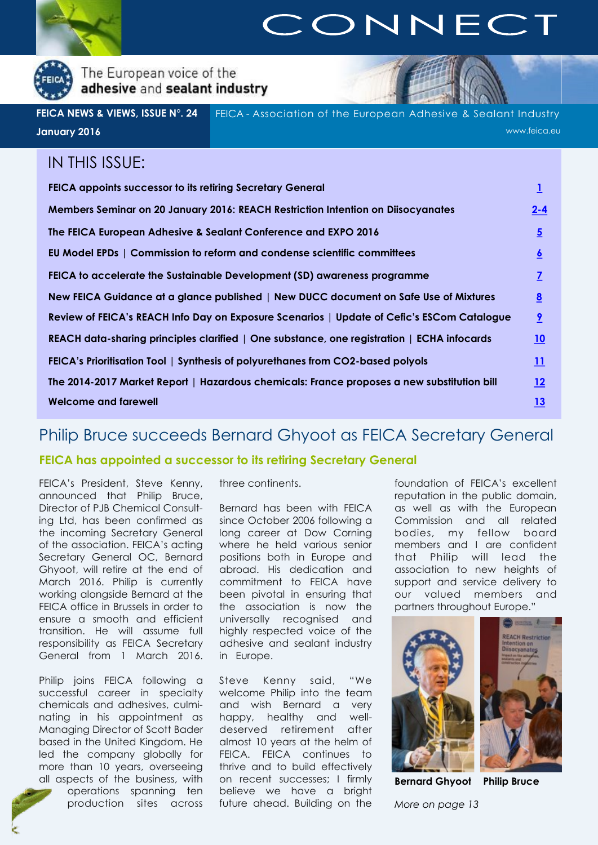<span id="page-0-0"></span>

## CONNECT

The European voice of the adhesive and sealant industry

FEICA - Association of the European Adhesive & Sealant Industry www.feica.eu **FEICA NEWS & VIEWS, ISSUE N°. 24 January 2016**

### IN THIS ISSUE:

| <b>FEICA appoints successor to its retiring Secretary General</b>                          |                         |
|--------------------------------------------------------------------------------------------|-------------------------|
| Members Seminar on 20 January 2016: REACH Restriction Intention on Diisocyanates           | $2 - 4$                 |
| The FEICA European Adhesive & Sealant Conference and EXPO 2016                             | $\overline{5}$          |
| EU Model EPDs   Commission to reform and condense scientific committees                    | $\overline{6}$          |
| FEICA to accelerate the Sustainable Development (SD) awareness programme                   | $\overline{L}$          |
| New FEICA Guidance at a glance published   New DUCC document on Safe Use of Mixtures       | $\underline{8}$         |
| Review of FEICA's REACH Info Day on Exposure Scenarios   Update of Cefic's ESCom Catalogue | $\overline{\mathbf{2}}$ |
| REACH data-sharing principles clarified   One substance, one registration   ECHA infocards | <u>10</u>               |
| FEICA's Prioritisation Tool   Synthesis of polyurethanes from CO2-based polyols            | <u> 11</u>              |
| The 2014-2017 Market Report   Hazardous chemicals: France proposes a new substitution bill | <u> 12</u>              |
| Welcome and farewell                                                                       | <u>13</u>               |

## Philip Bruce succeeds Bernard Ghyoot as FEICA Secretary General

#### **FEICA has appointed a successor to its retiring Secretary General**

FEICA's President, Steve Kenny, announced that Philip Bruce, Director of PJB Chemical Consulting Ltd, has been confirmed as the incoming Secretary General of the association. FEICA's acting Secretary General OC, Bernard Ghyoot, will retire at the end of March 2016. Philip is currently working alongside Bernard at the FEICA office in Brussels in order to ensure a smooth and efficient transition. He will assume full responsibility as FEICA Secretary General from 1 March 2016.

Philip joins FEICA following a successful career in specialty chemicals and adhesives, culminating in his appointment as Managing Director of Scott Bader based in the United Kingdom. He led the company globally for more than 10 years, overseeing all aspects of the business, with

operations spanning ten production sites across three continents.

Bernard has been with FEICA since October 2006 following a long career at Dow Corning where he held various senior positions both in Europe and abroad. His dedication and commitment to FEICA have been pivotal in ensuring that the association is now the universally recognised and highly respected voice of the adhesive and sealant industry in Europe.

Steve Kenny said, "We welcome Philip into the team and wish Bernard a very happy, healthy and welldeserved retirement after almost 10 years at the helm of FEICA. FEICA continues to thrive and to build effectively on recent successes; I firmly believe we have a bright future ahead. Building on the

foundation of FEICA's excellent reputation in the public domain, as well as with the European Commission and all related bodies, my fellow board members and I are confident that Philip will lead the association to new heights of support and service delivery to our valued members and partners throughout Europe."



**Bernard Ghyoot Philip Bruce**

*More on page 13*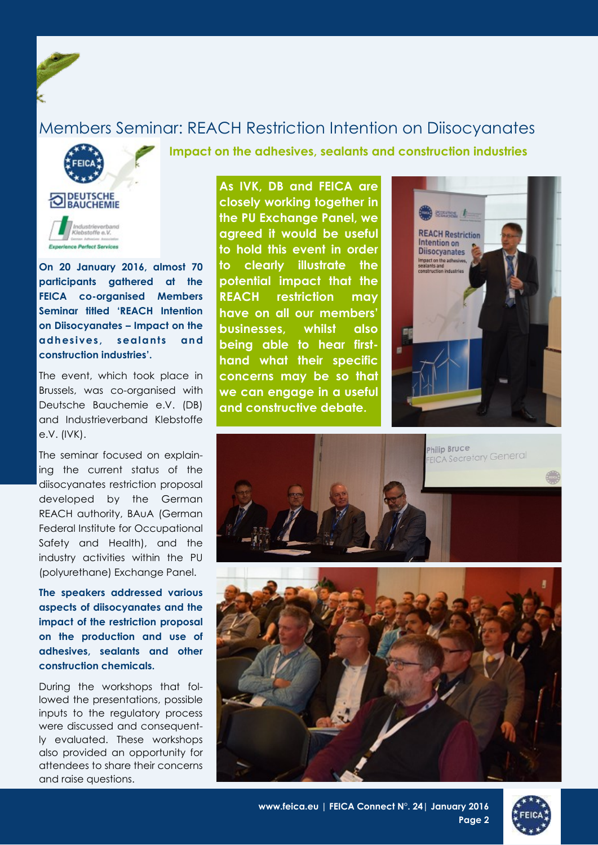## <span id="page-1-0"></span>Members Seminar: REACH Restriction Intention on Diisocyanates

**Impact on the adhesives, sealants and construction industries**



**On 20 January 2016, almost 70 participants gathered at the FEICA co-organised Members Seminar titled 'REACH Intention on Diisocyanates – Impact on the adhesives, sealants and construction industries'.** 

The event, which took place in Brussels, was co-organised with Deutsche Bauchemie e.V. (DB) and Industrieverband Klebstoffe e.V. (IVK).

The seminar focused on explaining the current status of the diisocyanates restriction proposal developed by the German REACH authority, BAuA (German Federal Institute for Occupational Safety and Health), and the industry activities within the PU (polyurethane) Exchange Panel.

**The speakers addressed various aspects of diisocyanates and the impact of the restriction proposal on the production and use of adhesives, sealants and other construction chemicals.** 

During the workshops that followed the presentations, possible inputs to the regulatory process were discussed and consequently evaluated. These workshops also provided an opportunity for attendees to share their concerns and raise questions.

**As IVK, DB and FEICA are closely working together in the PU Exchange Panel, we agreed it would be useful to hold this event in order to clearly illustrate the potential impact that the REACH restriction may have on all our members' businesses, whilst also being able to hear firsthand what their specific concerns may be so that we can engage in a useful and constructive debate.** 





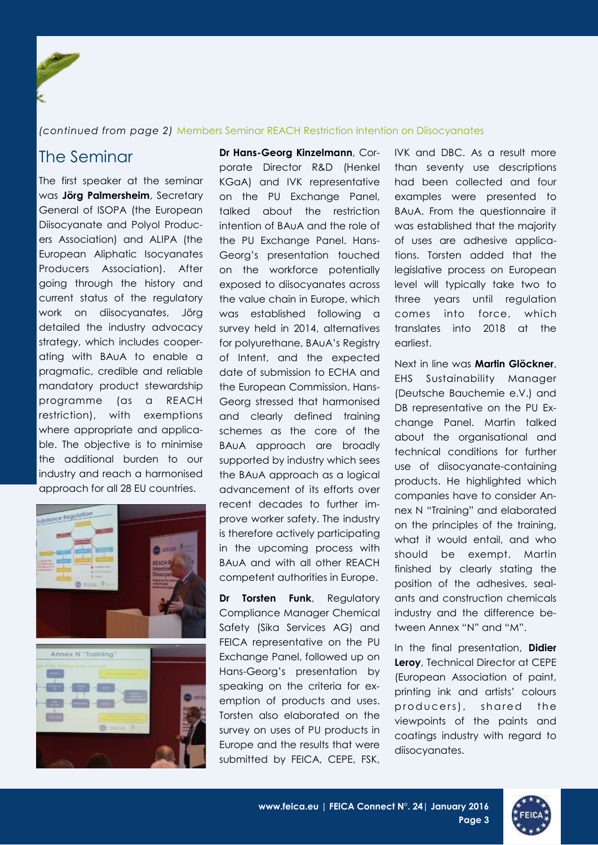#### *(continued from page 2)* Members Seminar REACH Restriction Intention on Diisocyanates

The first speaker at the seminar was **Jörg Palmersheim**, Secretary General of ISOPA (the European Diisocyanate and Polyol Producers Association) and ALIPA (the European Aliphatic Isocyanates Producers Association). After going through the history and current status of the regulatory work on diisocyanates, Jörg detailed the industry advocacy strategy, which includes cooperating with BAuA to enable a pragmatic, credible and reliable mandatory product stewardship programme (as a REACH restriction), with exemptions where appropriate and applicable. The objective is to minimise the additional burden to our industry and reach a harmonised approach for all 28 EU countries.



The Seminar **Dr Hans-Georg Kinzelmann**, Corporate Director R&D (Henkel KGaA) and IVK representative on the PU Exchange Panel, talked about the restriction intention of BAuA and the role of the PU Exchange Panel. Hans-Georg's presentation touched on the workforce potentially exposed to diisocyanates across the value chain in Europe, which was established following a survey held in 2014, alternatives for polyurethane, BAuA's Registry of Intent, and the expected date of submission to ECHA and the European Commission. Hans-Georg stressed that harmonised and clearly defined training schemes as the core of the BAuA approach are broadly supported by industry which sees the BAuA approach as a logical advancement of its efforts over recent decades to further improve worker safety. The industry is therefore actively participating in the upcoming process with BAuA and with all other REACH competent authorities in Europe.

> **Dr Torsten Funk**, Regulatory Compliance Manager Chemical Safety (Sika Services AG) and FEICA representative on the PU Exchange Panel, followed up on Hans-Georg's presentation by speaking on the criteria for exemption of products and uses. Torsten also elaborated on the survey on uses of PU products in Europe and the results that were submitted by FEICA, CEPE, FSK,

IVK and DBC. As a result more than seventy use descriptions had been collected and four examples were presented to BAuA. From the questionnaire it was established that the majority of uses are adhesive applications. Torsten added that the legislative process on European level will typically take two to three years until regulation comes into force, which translates into 2018 at the earliest.

Next in line was **Martin Glöckner**, EHS Sustainability Manager (Deutsche Bauchemie e.V.) and DB representative on the PU Exchange Panel. Martin talked about the organisational and technical conditions for further use of diisocyanate-containing products. He highlighted which companies have to consider Annex N "Training" and elaborated on the principles of the training, what it would entail, and who should be exempt. Martin finished by clearly stating the position of the adhesives, sealants and construction chemicals industry and the difference between Annex "N" and "M".

In the final presentation, **Didier Leroy**, Technical Director at CEPE (European Association of paint, printing ink and artists' colours producers), shared the viewpoints of the paints and coatings industry with regard to diisocyanates.



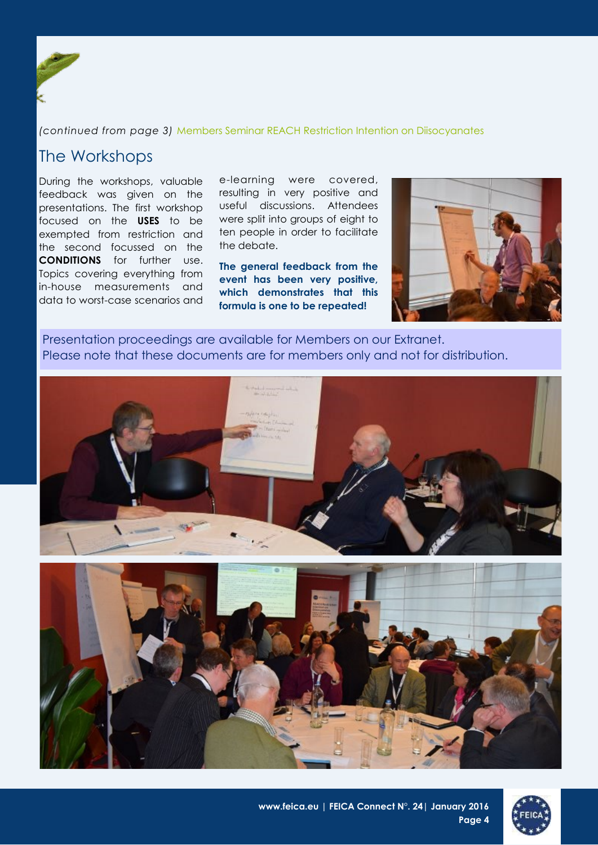

*(continued from page 3)* Members Seminar REACH Restriction Intention on Diisocyanates

## The Workshops

During the workshops, valuable feedback was given on the presentations. The first workshop focused on the **USES** to be exempted from restriction and the second focussed on the **CONDITIONS** for further use. Topics covering everything from in-house measurements and data to worst-case scenarios and

e-learning were covered, resulting in very positive and useful discussions. Attendees were split into groups of eight to ten people in order to facilitate the debate.

**The general feedback from the event has been very positive, which demonstrates that this formula is one to be repeated!**



Presentation proceedings are available for Members on our Extranet. Please note that these documents are for members only and not for distribution.



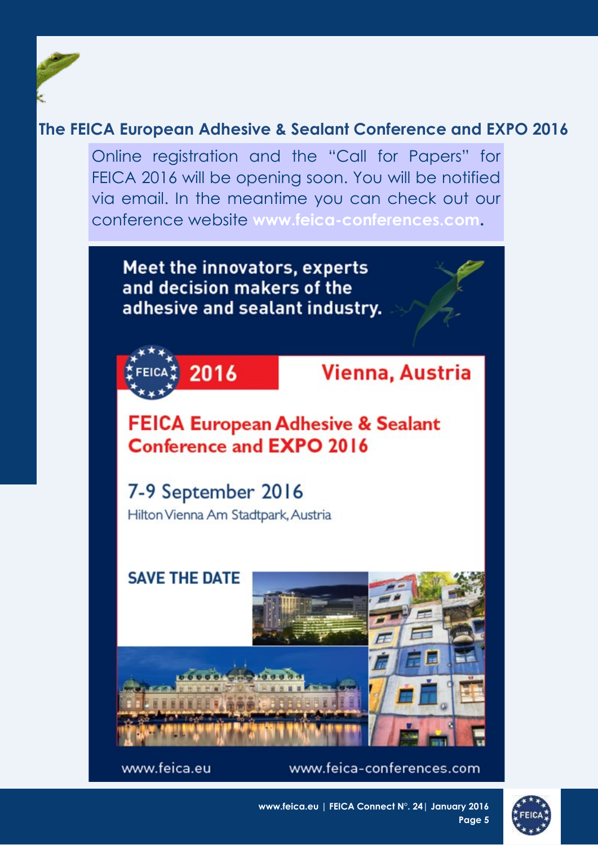## <span id="page-4-0"></span>**The FEICA European Adhesive & Sealant Conference and EXPO 2016**

Online registration and the "Call for Papers" for FEICA 2016 will be opening soon. You will be notified via email. In the meantime you can check out our conference website **www.feica-conferences.com.** 



www.feica.eu

www.feica-conferences.com



**www.feica.eu | FEICA Connect N°. 24| January 2016 Page 5**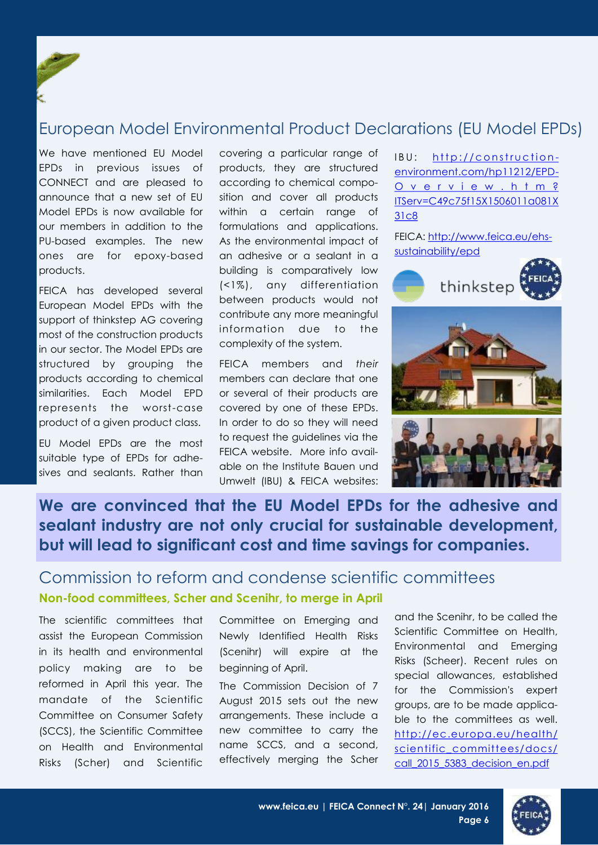## <span id="page-5-0"></span>European Model Environmental Product Declarations (EU Model EPDs)

We have mentioned EU Model EPDs in previous issues of CONNECT and are pleased to announce that a new set of EU Model EPDs is now available for our members in addition to the PU-based examples. The new ones are for epoxy-based products.

FEICA has developed several European Model EPDs with the support of thinkstep AG covering most of the construction products in our sector. The Model EPDs are structured by grouping the products according to chemical similarities. Each Model EPD represents the worst-case product of a given product class.

EU Model EPDs are the most suitable type of [EPDs f](http://www.feica.eu/ehs-sustainability/epd/model-epds-types-and-advantages)or adhesives and sealants. Rather than covering a particular range of products, they are structured according to chemical composition and cover all products within a certain range of formulations and applications. As the environmental impact of an adhesive or a sealant in a building is comparatively low (<1%), any differentiation between products would not contribute any more meaningful information due to the complexity of the system.

FEICA members and *their* members can declare that one or several of their products are covered by one of these EPDs. In order to do so they will need to request the guidelines via the FEICA website. More info available on the Institute Bauen und Umwelt (IBU) & FEICA websites:

IBU: http://construction[environment.com/hp11212/EPD-](http://construction-environment.com/hp11212/EPD-Overview.htm?ITServ=C49c75f15X1506011a081X31c8)[O v e r v i e w . h t m ?](http://construction-environment.com/hp11212/EPD-Overview.htm?ITServ=C49c75f15X1506011a081X31c8) [ITServ=C49c75f15X1506011a081X](http://construction-environment.com/hp11212/EPD-Overview.htm?ITServ=C49c75f15X1506011a081X31c8) [31c8](http://construction-environment.com/hp11212/EPD-Overview.htm?ITServ=C49c75f15X1506011a081X31c8)

FEICA: [http://www.feica.eu/ehs](http://www.feica.eu/ehs-sustainability/epd)[sustainability/epd](http://www.feica.eu/ehs-sustainability/epd)



## **We are convinced that the EU Model EPDs for the adhesive and sealant industry are not only crucial for sustainable development, but will lead to significant cost and time savings for companies.**

## Commission to reform and condense scientific committees **Non-food committees, Scher and Scenihr, to merge in April**

The scientific committees that assist the European Commission in its health and environmental policy making are to be reformed in April this year. The mandate of the Scientific Committee on Consumer Safety (SCCS), the Scientific Committee on Health and Environmental Risks (Scher) and Scientific

Committee on Emerging and Newly Identified Health Risks (Scenihr) will expire at the beginning of April.

The Commission Decision of 7 August 2015 sets out the new arrangements. These include a new committee to carry the name SCCS, and a second, effectively merging the Scher and the Scenihr, to be called the Scientific Committee on Health, Environmental and Emerging Risks (Scheer). Recent rules on special allowances, established for the Commission's expert groups, are to be made applicable to the committees as well. [http://ec.europa.eu/health/](http://ec.europa.eu/health/scientific_committees/docs/call_2015_5383_decision_en.pdf) [scientific\\_committees/docs/](http://ec.europa.eu/health/scientific_committees/docs/call_2015_5383_decision_en.pdf) call 2015 5383 decision en.pdf

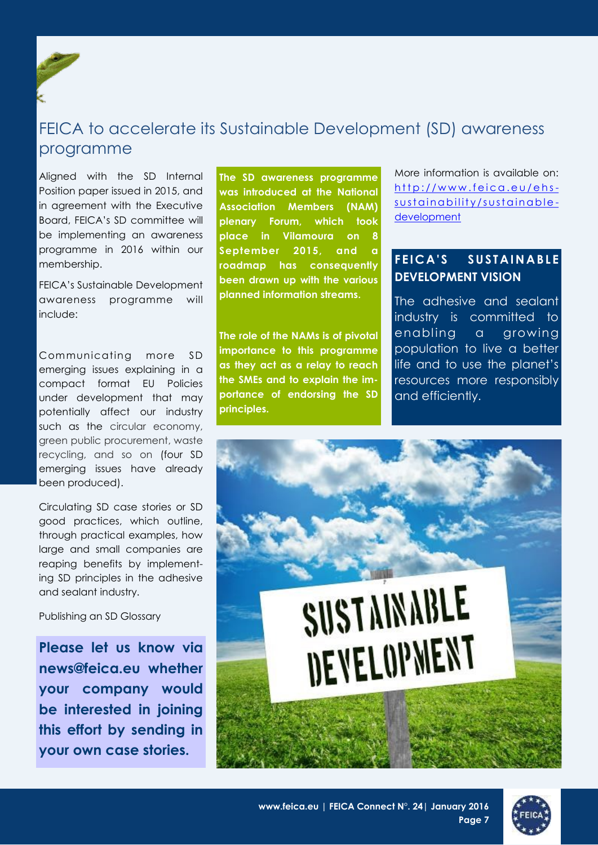<span id="page-6-0"></span>

## FEICA to accelerate its Sustainable Development (SD) awareness programme

Aligned with the SD Internal Position paper issued in 2015, and in agreement with the Executive Board, FEICA's SD committee will be implementing an awareness programme in 2016 within our membership.

FEICA's Sustainable Development awareness programme will include:

Communicating more SD emerging issues explaining in a compact format EU Policies under development that may potentially affect our industry such as the circular economy, green public procurement, waste recycling, and so on (four SD emerging issues have already been produced).

Circulating SD case stories or SD good practices, which outline, through practical examples, how large and small companies are reaping benefits by implementing SD principles in the adhesive and sealant industry.

Publishing an SD Glossary

**Please let us know via news@feica.eu whether your company would be interested in joining this effort by sending in your own case stories.** 

**The SD awareness programme was introduced at the National Association Members (NAM) plenary Forum, which took place in Vilamoura on 8**  September 2015, and **roadmap has consequently been drawn up with the various planned information streams.** 

**The role of the NAMs is of pivotal importance to this programme as they act as a relay to reach the SMEs and to explain the importance of endorsing the SD principles.**

More information is available on:  $http://www.feica.eu/ehs$ s u st a in a bility / s u st a in a b l e [development](http://www.feica.eu/ehs-sustainability/sustainable-development)

### **F E I C A ' S S U S T A I N A B L E DEVELOPMENT VISION**

The adhesive and sealant industry is committed to enabling a growing population to live a better life and to use the planet's resources more responsibly and efficiently.



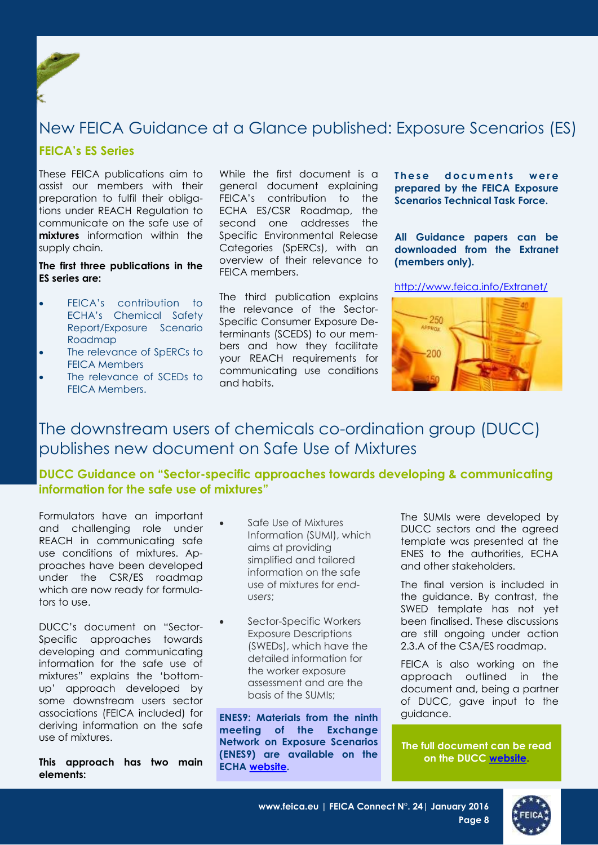<span id="page-7-0"></span>

## New FEICA Guidance at a Glance published: Exposure Scenarios (ES)

#### **FEICA's ES Series**

These FEICA publications aim to assist our members with their preparation to fulfil their obligations under REACH Regulation to communicate on the safe use of **mixtures** information within the supply chain.

#### **The first three publications in the ES series are:**

- **•** FFICA's contribution to ECHA's Chemical Safety Report/Exposure Scenario Roadmap
- The relevance of SpERCs to FEICA Members
- The relevance of SCEDs to FEICA Members.

While the first document is a general document explaining FEICA's contribution to the ECHA ES/CSR Roadmap, the second one addresses the Specific Environmental Release Categories (SpERCs), with an overview of their relevance to FEICA members.

The third publication explains the relevance of the Sector-Specific Consumer Exposure Determinants (SCEDS) to our members and how they facilitate your REACH requirements for communicating use conditions and habits.

**These documents were prepared by the FEICA Exposure Scenarios Technical Task Force.** 

**All Guidance papers can be downloaded from the Extranet (members only).** 

<http://www.feica.info/Extranet/>



## The downstream users of chemicals co-ordination group (DUCC) publishes new document on Safe Use of Mixtures

### **DUCC Guidance on "Sector-specific approaches towards developing & communicating information for the safe use of mixtures"**

Formulators have an important and challenging role under REACH in communicating safe use conditions of mixtures. Approaches have been developed under the CSR/ES roadmap which are now ready for formulators to use.

DUCC's [document o](http://tby.emailr.com/click.aspx?uid=4bbec034-ec87-4ff8-9689-75dd38705614&fw=http://tby.emailr.com/click.aspx%5bqm%5duid=%5band%5dfw=http://tby.emailr.com/click.aspx%5bqm%5duid=%5band%5dfw=http://www.ducc.eu/documents/Sector%5bpc%5d20specific%5bpc%5d20approac)n "Sector-Specific approaches towards developing and communicating information for the safe use of mixtures" explains the 'bottomup' approach developed by some downstream users sector associations (FEICA included) for deriving information on the safe use of mixtures.

**This approach has two main elements:** 

- Safe Use of Mixtures Information (SUMI), which aims at providing simplified and tailored information on the safe use of mixtures for *endusers*;
- Sector-Specific Workers Exposure Descriptions (SWEDs), which have the detailed information for the worker exposure assessment and are the basis of the SUMIs;

**ENES9: Materials from the ninth guidance**. **meeting of the Exchange Network on Exposure Scenarios (ENES9) are available on the ECHA [website.](http://tby.emailr.com/click.aspx?uid=4bbec034-ec87-4ff8-9689-75dd38705614&fw=http://tby.emailr.com/click.aspx%5bqm%5duid=%5band%5dfw=http://www.ducc.eu/News.aspx%5bsharp%5dnews5C:/Users/alenus/Documents/Custom%20Office%20Templates)**

The SUMIs were developed by DUCC sectors and the agreed template was presented at the ENES to the authorities, ECHA and other stakeholders.

The final version is included in the guidance. By contrast, the SWED template has not yet been finalised. These discussions are still ongoing under action 2.3.A of the CSA/ES roadmap.

FEICA is also working on the approach outlined in the document and, being a partner of DUCC, gave input to the

**The full document can be read on the DUCC [website.](http://tby.emailr.com/click.aspx?uid=4bbec034-ec87-4ff8-9689-75dd38705614&fw=http://tby.emailr.com/click.aspx%5bqm%5duid=%5band%5dfw=http://www.ducc.eu/News.aspx%5bsharp%5dnews5C:/Users/alenus/Documents/Custom%20Office%20Templates)**

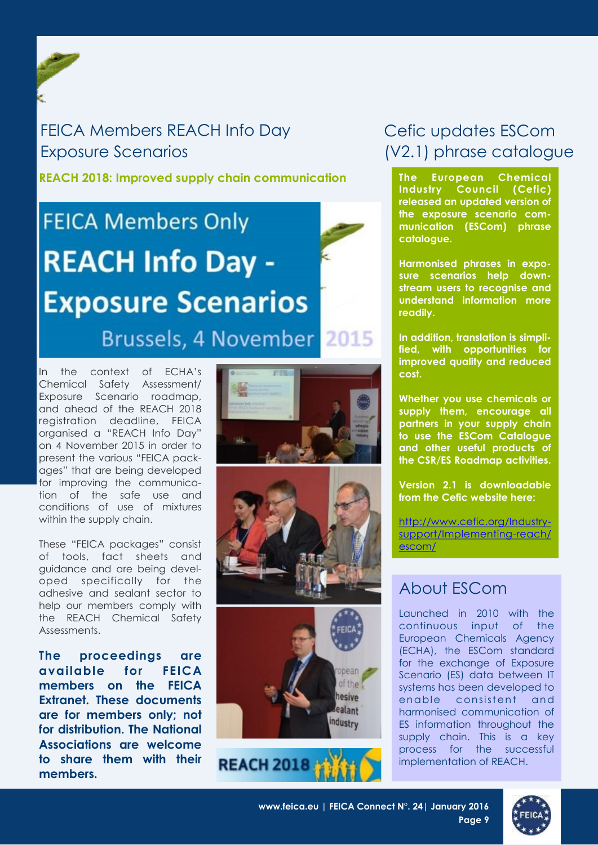## <span id="page-8-0"></span>FEICA Members REACH Info Day Exposure Scenarios

**REACH 2018: Improved supply chain communication**

# **FEICA Members Only REACH Info Day -Exposure Scenarios** Brussels, 4 November 2015

In the context of ECHA's Chemical Safety Assessment/ Exposure Scenario roadmap, and ahead of the REACH 2018 registration deadline, FEICA organised a "REACH Info Day" on 4 November 2015 in order to present the various "FEICA packages" that are being developed for improving the communication of the safe use and conditions of use of mixtures within the supply chain.

These "FEICA packages" consist of tools, fact sheets and guidance and are being developed specifically for the adhesive and sealant sector to help our members comply with the REACH Chemical Safety Assessments.

**The proceedings are available for FEICA members on the FEICA Extranet. These documents are for members only; not for distribution. The National Associations are welcome to share them with their members.** 





## **REACH 2018**

## Cefic updates ESCom (V2.1) phrase catalogue

**The European Chemical Industry Council (Cefic) released an updated version of the exposure scenario communication (ESCom) phrase catalogue.**

**Harmonised phrases in exposure scenarios help downstream users to recognise and understand information more readily.** 

**In addition, translation is simplified, with opportunities for improved quality and reduced cost.** 

**Whether you use chemicals or supply them, encourage all partners in your supply chain to use the ESCom Catalogue and other useful products of the CSR/ES Roadmap activities.**

**Version 2.1 is downloadable from the Cefic website here:**

[http://www.cefic.org/Industry](http://www.cefic.org/Industry-support/Implementing-reach/escom/)[support/Implementing-reach/](http://www.cefic.org/Industry-support/Implementing-reach/escom/) [escom/](http://www.cefic.org/Industry-support/Implementing-reach/escom/)

## About ESCom

Launched in 2010 with the continuous input of the European Chemicals Agency (ECHA), the ESCom standard for the exchange of Exposure Scenario (ES) data between IT systems has been developed to enable consistent and harmonised communication of ES information throughout the supply chain. This is a key process for the successful implementation of REACH.

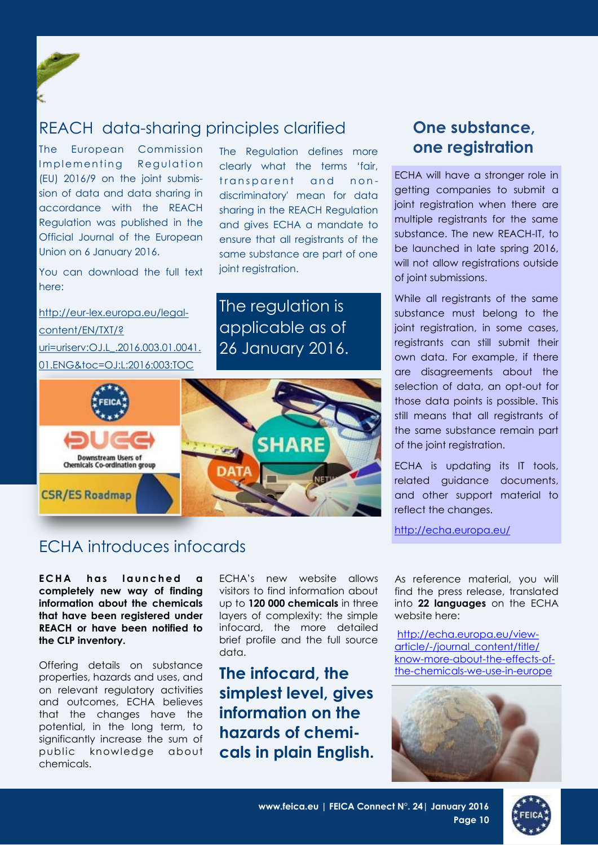<span id="page-9-0"></span>

The European Commission Implementing Regulation (EU) 2016/9 on the joint submission of data and data sharing in accordance with the REACH Regulation was published in the Official Journal of the European Union on 6 January 2016.

You can download the full text here:

[http://eur-lex.europa.eu/legal](http://eur-lex.europa.eu/legal-content/EN/TXT/?uri=uriserv:OJ.L_.2016.003.01.0041.01.ENG&toc=OJ:L:2016:003:TOC)[content/EN/TXT/?](http://eur-lex.europa.eu/legal-content/EN/TXT/?uri=uriserv:OJ.L_.2016.003.01.0041.01.ENG&toc=OJ:L:2016:003:TOC) [uri=uriserv:OJ.L\\_.2016.003.01.0041.](http://eur-lex.europa.eu/legal-content/EN/TXT/?uri=uriserv:OJ.L_.2016.003.01.0041.01.ENG&toc=OJ:L:2016:003:TOC) [01.ENG&toc=OJ:L:2016:003:TOC](http://eur-lex.europa.eu/legal-content/EN/TXT/?uri=uriserv:OJ.L_.2016.003.01.0041.01.ENG&toc=OJ:L:2016:003:TOC)

The Regulation defines more clearly what the terms 'fair, transparent and nondiscriminatory' mean for data sharing in the REACH Regulation and gives ECHA a mandate to ensure that all registrants of the same substance are part of one joint registration.

The regulation is applicable as of 26 January 2016.



## **One substance, one registration**

ECHA will have a stronger role in getting companies to submit a joint registration when there are multiple registrants for the same substance. The new REACH-IT, to be launched in late spring 2016, will not allow registrations outside of joint submissions.

While all registrants of the same substance must belong to the joint registration, in some cases, registrants can still submit their own data. For example, if there are disagreements about the selection of data, an opt-out for those data points is possible. This still means that all registrants of the same substance remain part of the joint registration.

ECHA is updating its IT tools, related guidance documents, and other support material to reflect the changes.

<http://echa.europa.eu/>

## ECHA introduces infocards

**ECHA** has launched a **completely new way of finding information about the chemicals that have been registered under REACH or have been notified to the CLP inventory.** 

Offering details on substance properties, hazards and uses, and on relevant regulatory activities and outcomes, ECHA believes that the changes have the potential, in the long term, to significantly increase the sum of public knowledge about chemicals.

ECHA's new website allows visitors to find information about up to **120 000 chemicals** in three layers of complexity: the simple infocard, the more detailed brief profile and the full source data.

**The infocard, the simplest level, gives information on the hazards of chemicals in plain English.** As reference material, you will find the press release, translated into **22 languages** on the ECHA website [here:](http://echa.europa.eu/view-article/-/journal_content/title/know-more-about-the-effects-of-the-chemicals-we-use-in-europe)

[http://echa.europa.eu/view](http://echa.europa.eu/view-article/-/journal_content/title/know-more-about-the-effects-of-the-chemicals-we-use-in-europe)[article/-/journal\\_content/title/](http://echa.europa.eu/view-article/-/journal_content/title/know-more-about-the-effects-of-the-chemicals-we-use-in-europe) [know-more-about-the-effects-of](http://echa.europa.eu/view-article/-/journal_content/title/know-more-about-the-effects-of-the-chemicals-we-use-in-europe)[the-chemicals-we-use-in-europe](http://echa.europa.eu/view-article/-/journal_content/title/know-more-about-the-effects-of-the-chemicals-we-use-in-europe)



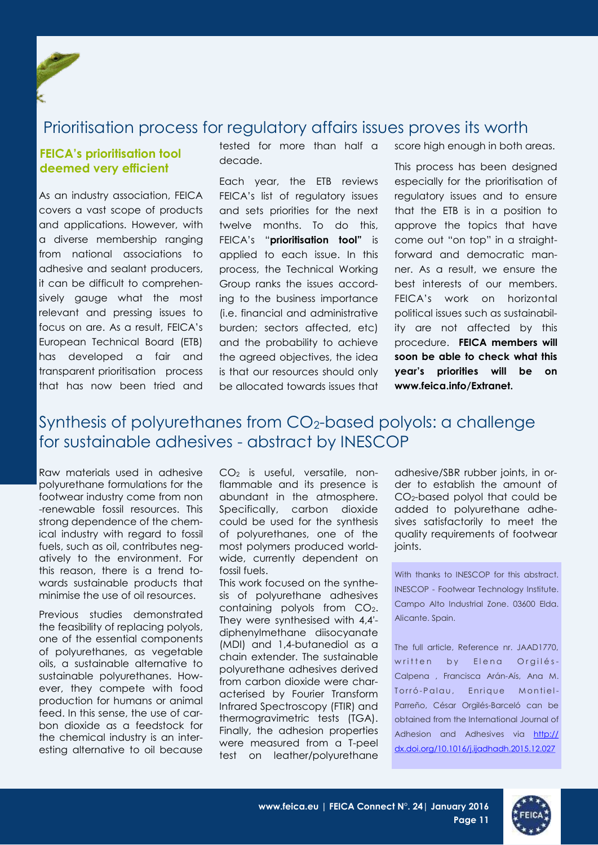## <span id="page-10-0"></span>Prioritisation process for regulatory affairs issues proves its worth

#### **FEICA's prioritisation tool deemed very efficient**

As an industry association, FEICA covers a vast scope of products and applications. However, with a diverse membership ranging from national associations to adhesive and sealant producers, it can be difficult to comprehensively gauge what the most relevant and pressing issues to focus on are. As a result, FEICA's European Technical Board (ETB) has developed a fair and transparent prioritisation process that has now been tried and

tested for more than half a decade.

Each year, the ETB reviews FEICA's list of regulatory issues and sets priorities for the next twelve months. To do this, FEICA's "**prioritisation tool"** is applied to each issue. In this process, the Technical Working Group ranks the issues according to the business importance (i.e. financial and administrative burden; sectors affected, etc) and the probability to achieve the agreed objectives, the idea is that our resources should only be allocated towards issues that score high enough in both areas.

This process has been designed especially for the prioritisation of regulatory issues and to ensure that the ETB is in a position to approve the topics that have come out "on top" in a straightforward and democratic manner. As a result, we ensure the best interests of our members. FEICA's work on horizontal political issues such as sustainability are not affected by this procedure. **FEICA members will soon be able to check what this year's priorities will be on www.feica.info/Extranet.**

## Synthesis of polyurethanes from CO2-based polyols: a challenge for sustainable adhesives - abstract by INESCOP

Raw materials used in adhesive polyurethane formulations for the footwear industry come from non -renewable fossil resources. This strong dependence of the chemical industry with regard to fossil fuels, such as oil, contributes negatively to the environment. For this reason, there is a trend towards sustainable products that minimise the use of oil resources.

Previous studies demonstrated the feasibility of replacing polyols, one of the essential components of polyurethanes, as vegetable oils, a sustainable alternative to sustainable polyurethanes. However, they compete with food production for humans or animal feed. In this sense, the use of carbon dioxide as a feedstock for the chemical industry is an interesting alternative to oil because

CO<sup>2</sup> is useful, versatile, nonflammable and its presence is abundant in the atmosphere. Specifically, carbon dioxide could be used for the synthesis of polyurethanes, one of the most polymers produced worldwide, currently dependent on fossil fuels.

This work focused on the synthesis of polyurethane adhesives containing polyols from CO<sub>2</sub>. They were synthesised with 4,4′ diphenylmethane diisocyanate (MDI) and 1,4-butanediol as a chain extender. The sustainable polyurethane adhesives derived from carbon dioxide were characterised by Fourier Transform Infrared Spectroscopy (FTIR) and thermogravimetric tests (TGA). Finally, the adhesion properties were measured from a T-peel test on leather/polyurethane

adhesive/SBR rubber joints, in order to establish the amount of CO2-based polyol that could be added to polyurethane adhesives satisfactorily to meet the quality requirements of footwear joints.

With thanks to INESCOP for this abstract. INESCOP - Footwear Technology Institute. Campo Alto Industrial Zone. 03600 Elda. Alicante. Spain.

The full article, Reference nr. JAAD1770, written by Elena Orgilés-[Calpena](http://www.sciencedirect.com/science/article/pii/S0143749615002304) , [Francisca Arán-Aís,](http://www.sciencedirect.com/science/article/pii/S0143749615002304) Ana M. Torró-Palau, Enrique Montiel-[Parreño,](http://www.sciencedirect.com/science/article/pii/S0143749615002304) [César Orgilés-Barceló](http://www.sciencedirect.com/science/article/pii/S0143749615002304) can be obtained from the International Journal of Adhesion and Adhesives via [http://](http://dx.doi.org/10.1016/j.ijadhadh.2015.12.027) [dx.doi.org/10.1016/j.ijadhadh.2015.12.027](http://dx.doi.org/10.1016/j.ijadhadh.2015.12.027)

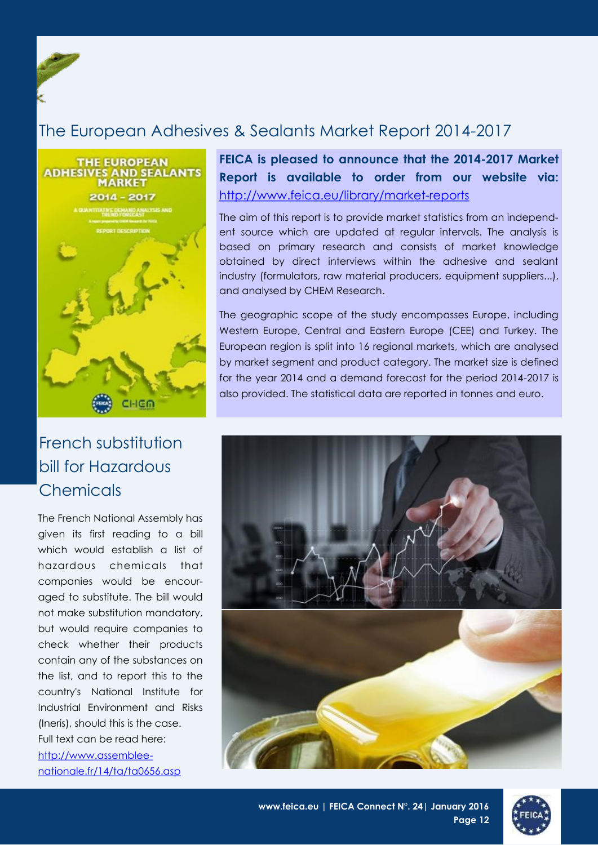## <span id="page-11-0"></span>The European Adhesives & Sealants Market Report 2014-2017



## French substitution bill for Hazardous **Chemicals**

The French National Assembly has given its first reading to a bill which would establish a list of hazardous chemicals that companies would be encouraged to substitute. The bill would not make substitution mandatory, but would require companies to check whether their products contain any of the substances on the list, and to report this to the country's National Institute for Industrial Environment and Risks (Ineris), should this is the case. Full text can be read here: [http://www.assemblee-](http://www.assemblee-nationale.fr/14/ta/ta0656.asp)

[nationale.fr/14/ta/ta0656.asp](http://www.assemblee-nationale.fr/14/ta/ta0656.asp)

**FEICA is pleased to announce that the 2014-2017 Market Report is available to order from our website via:**  <http://www.feica.eu/library/market-reports>

The aim of this report is to provide market statistics from an independent source which are updated at regular intervals. The analysis is based on primary research and consists of market knowledge obtained by direct interviews within the adhesive and sealant industry (formulators, raw material producers, equipment suppliers...), and analysed by CHEM Research.

The geographic scope of the study encompasses Europe, including Western Europe, Central and Eastern Europe (CEE) and Turkey. The European region is split into 16 regional markets, which are analysed by market segment and product category. The market size is defined for the year 2014 and a demand forecast for the period 2014-2017 is also provided. The statistical data are reported in tonnes and euro.